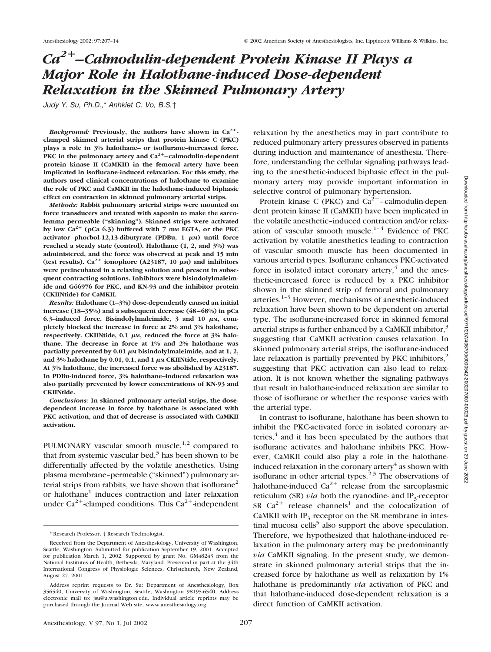# *Ca2–Calmodulin-dependent Protein Kinase II Plays a Major Role in Halothane-induced Dose-dependent Relaxation in the Skinned Pulmonary Artery*

*Judy Y. Su, Ph.D.,*\* *Anhkiet C. Vo, B.S.*†

*Background:* Previously, the authors have shown in  $Ca^{2+}$ . **clamped skinned arterial strips that protein kinase C (PKC) plays a role in 3% halothane– or isoflurane–increased force.** PKC in the pulmonary artery and  $Ca^{2+}$ –calmodulin-dependent **protein kinase II (CaMKII) in the femoral artery have been implicated in isoflurane-induced relaxation. For this study, the authors used clinical concentrations of halothane to examine the role of PKC and CaMKII in the halothane-induced biphasic effect on contraction in skinned pulmonary arterial strips.**

*Methods:* **Rabbit pulmonary arterial strips were mounted on force transducers and treated with saponin to make the sarcolemma permeable ("skinning"). Skinned strips were activated** by low  $Ca^{2+}$  (pCa 6.3) buffered with 7 mm EGTA, or the PKC activator phorbol-12,13-dibutyrate (PDBu, 1 μm) until force **reached a steady state (control). Halothane (1, 2, and 3%) was administered, and the force was observed at peak and 15 min** (test results).  $Ca^{2+}$  ionophore (A23187, 10  $\mu$ <sub>M</sub>) and inhibitors **were preincubated in a relaxing solution and present in subsequent contracting solutions. Inhibitors were bisindolylmaleimide and Gö6976 for PKC, and KN-93 and the inhibitor protein (CKIINtide) for CaMKII.**

*Results:* **Halothane (1–3%) dose-dependently caused an initial increase (18–35%) and a subsequent decrease (48–68%) in pCa 6.3–induced force. Bisindolylmaleimide, 3 and 10 μm, completely blocked the increase in force at 2% and 3% halothane,** respectively. CKIINtide, 0.1  $\mu$ <sub>M</sub>, reduced the force at 3% halo**thane. The decrease in force at 1% and 2% halothane was** partially prevented by 0.01  $\mu$ <sub>M</sub> bisindolylmaleimide, and at 1, 2, and  $3\%$  halothane by  $0.01$ ,  $0.1$ , and  $1 \mu$ M CKIINtide, respectively. **At 3% halothane, the increased force was abolished by A23187. In PDBu-induced force, 3% halothane–induced relaxation was also partially prevented by lower concentrations of KN-93 and CKIINtide.**

*Conclusions:* **In skinned pulmonary arterial strips, the dosedependent increase in force by halothane is associated with PKC activation, and that of decrease is associated with CaMKII activation.**

PULMONARY vascular smooth muscle,<sup>1,2</sup> compared to that from systemic vascular bed, $3$  has been shown to be differentially affected by the volatile anesthetics. Using plasma membrane–permeable ("skinned") pulmonary arterial strips from rabbits, we have shown that isoflurane<sup>2</sup> or halothane<sup>1</sup> induces contraction and later relaxation under  $Ca^{2+}$ -clamped conditions. This  $Ca^{2+}$ -independent relaxation by the anesthetics may in part contribute to reduced pulmonary artery pressures observed in patients during induction and maintenance of anesthesia. Therefore, understanding the cellular signaling pathways leading to the anesthetic-induced biphasic effect in the pulmonary artery may provide important information in selective control of pulmonary hypertension.

Protein kinase C (PKC) and  $Ca^{2+}$ -calmodulin-dependent protein kinase II (CaMKII) have been implicated in the volatile anesthetic–induced contraction and/or relaxation of vascular smooth muscle. $1-4$  Evidence of PKC activation by volatile anesthetics leading to contraction of vascular smooth muscle has been documented in various arterial types. Isoflurane enhances PKC-activated force in isolated intact coronary artery, $4$  and the anesthetic-increased force is reduced by a PKC inhibitor shown in the skinned strip of femoral and pulmonary arteries. $1-3$  However, mechanisms of anesthetic-induced relaxation have been shown to be dependent on arterial type. The isoflurane-increased force in skinned femoral arterial strips is further enhanced by a CaMKII inhibitor, $3$ suggesting that CaMKII activation causes relaxation. In skinned pulmonary arterial strips, the isoflurane-induced late relaxation is partially prevented by PKC inhibitors, $2$ suggesting that PKC activation can also lead to relaxation. It is not known whether the signaling pathways that result in halothane-induced relaxation are similar to those of isoflurane or whether the response varies with the arterial type.

In contrast to isoflurane, halothane has been shown to inhibit the PKC-activated force in isolated coronary arteries, $\frac{4}{3}$  and it has been speculated by the authors that isoflurane activates and halothane inhibits PKC. However, CaMKII could also play a role in the halothaneinduced relaxation in the coronary artery<sup>4</sup> as shown with isoflurane in other arterial types. $2,3$  The observations of halothane-induced  $Ca^{2+}$  release from the sarcoplasmic reticulum (SR)  $via$  both the ryanodine- and IP<sub>3</sub>-receptor SR  $Ca^{2+}$  release channels<sup>1</sup> and the colocalization of CaMKII with  $IP_3$  receptor on the SR membrane in intestinal mucosa cells<sup>5</sup> also support the above speculation. Therefore, we hypothesized that halothane-induced relaxation in the pulmonary artery may be predominantly *via* CaMKII signaling. In the present study, we demonstrate in skinned pulmonary arterial strips that the increased force by halothane as well as relaxation by 1% halothane is predominantly *via* activation of PKC and that halothane-induced dose-dependent relaxation is a direct function of CaMKII activation.

<sup>\*</sup> Research Professor, † Research Technologist.

Received from the Department of Anesthesiology, University of Washington, Seattle, Washington. Submitted for publication September 19, 2001. Accepted for publication March 1, 2002. Supported by grant No. GM48243 from the National Institutes of Health, Bethesda, Maryland. Presented in part at the 34th International Congress of Physiologic Sciences, Christchurch, New Zealand, August 27, 2001.

Address reprint requests to Dr. Su: Department of Anesthesiology, Box 356540, University of Washington, Seattle, Washington 98195-6540. Address electronic mail to: jsu@u.washington.edu. Individual article reprints may be purchased through the Journal Web site, www.anesthesiology.org.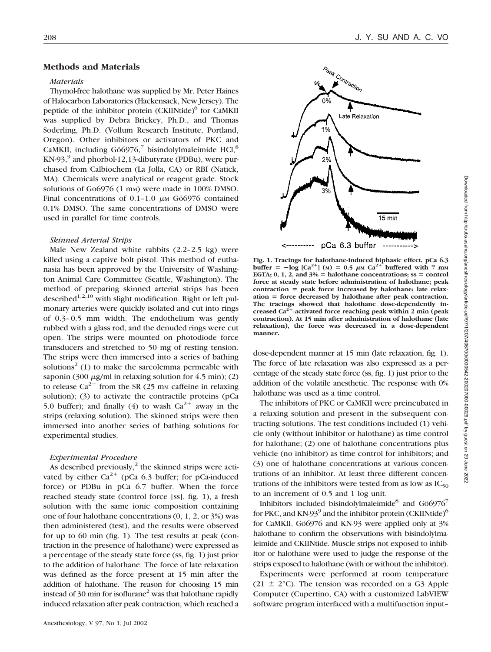### **Methods and Materials**

#### *Materials*

Thymol-free halothane was supplied by Mr. Peter Haines of Halocarbon Laboratories (Hackensack, New Jersey). The peptide of the inhibitor protein (CKIINtide)<sup>6</sup> for CaMKII was supplied by Debra Brickey, Ph.D., and Thomas Soderling, Ph.D. (Vollum Research Institute, Portland, Oregon). Other inhibitors or activators of PKC and CaMKII, including  $G\ddot{o}6976$ ,<sup>7</sup> bisindolylmaleimide HCl,<sup>8</sup>  $KN-93$ , and phorbol-12,13-dibutyrate (PDBu), were purchased from Calbiochem (La Jolla, CA) or RBI (Natick, MA). Chemicals were analytical or reagent grade. Stock solutions of Go6976 (1 mm) were made in 100% DMSO. Final concentrations of  $0.1$ -1.0  $\mu$ M Gö6976 contained 0.1% DMSO. The same concentrations of DMSO were used in parallel for time controls.

#### *Skinned Arterial Strips*

Male New Zealand white rabbits (2.2–2.5 kg) were killed using a captive bolt pistol. This method of euthanasia has been approved by the University of Washington Animal Care Committee (Seattle, Washington). The method of preparing skinned arterial strips has been described<sup>1,2,10</sup> with slight modification. Right or left pulmonary arteries were quickly isolated and cut into rings of 0.3–0.5 mm width. The endothelium was gently rubbed with a glass rod, and the denuded rings were cut open. The strips were mounted on photodiode force transducers and stretched to 50 mg of resting tension. The strips were then immersed into a series of bathing solutions<sup>2</sup> (1) to make the sarcolemma permeable with saponin (300  $\mu$ g/ml in relaxing solution for 4.5 min); (2) to release  $Ca^{2+}$  from the SR (25 mm caffeine in relaxing solution); (3) to activate the contractile proteins (pCa 5.0 buffer); and finally (4) to wash  $Ca^{2+}$  away in the strips (relaxing solution). The skinned strips were then immersed into another series of bathing solutions for experimental studies.

#### *Experimental Procedure*

As described previously, $2$  the skinned strips were activated by either  $Ca^{2+}$  (pCa 6.3 buffer; for pCa-induced force) or PDBu in pCa 6.7 buffer. When the force reached steady state (control force [ss], fig. 1), a fresh solution with the same ionic composition containing one of four halothane concentrations (0, 1, 2, or 3%) was then administered (test), and the results were observed for up to 60 min (fig. 1). The test results at peak (contraction in the presence of halothane) were expressed as a percentage of the steady state force (ss, fig. 1) just prior to the addition of halothane. The force of late relaxation was defined as the force present at 15 min after the addition of halothane. The reason for choosing 15 min instead of 30 min for isoflurane<sup>2</sup> was that halothane rapidly induced relaxation after peak contraction, which reached a



pCa 6.3 buffer

**Fig. 1. Tracings for halothane-induced biphasic effect. pCa 6.3**  $\text{buffer} = -\log \left[ \text{Ca}^{2+} \right] \text{ (M)} = 0.5 \ \mu \text{m} \text{ Ca}^{2+} \text{ buffered with } 7 \ \text{mm}$ **EGTA**;  $0, 1, 2$ , and  $3\% =$  halothane concentrations; ss  $=$  control **force at steady state before administration of halothane; peak** contraction = peak force increased by halothane; late relax**ation force decreased by halothane after peak contraction. The tracings showed that halothane dose-dependently increased Ca2-activated force reaching peak within 2 min (peak contraction). At 15 min after administration of halothane (late relaxation), the force was decreased in a dose-dependent manner.**

dose-dependent manner at 15 min (late relaxation, fig. 1). The force of late relaxation was also expressed as a percentage of the steady state force (ss, fig. 1) just prior to the addition of the volatile anesthetic. The response with 0% halothane was used as a time control.

The inhibitors of PKC or CaMKII were preincubated in a relaxing solution and present in the subsequent contracting solutions. The test conditions included (1) vehicle only (without inhibitor or halothane) as time control for halothane; (2) one of halothane concentrations plus vehicle (no inhibitor) as time control for inhibitors; and (3) one of halothane concentrations at various concentrations of an inhibitor. At least three different concentrations of the inhibitors were tested from as low as  $IC_{50}$ to an increment of 0.5 and 1 log unit.

Inhibitors included bisindolylmaleimide<sup>8</sup> and  $G\ddot{o}6976^7$ for PKC, and KN-93 $^9$  and the inhibitor protein (CKIINtide) $^6$ for CaMKII. Gö6976 and KN-93 were applied only at 3% halothane to confirm the observations with bisindolylmaleimide and CKIINtide. Muscle strips not exposed to inhibitor or halothane were used to judge the response of the strips exposed to halothane (with or without the inhibitor).

Experiments were performed at room temperature  $(21 \pm 2^{\circ}C)$ . The tension was recorded on a G3 Apple Computer (Cupertino, CA) with a customized LabVIEW software program interfaced with a multifunction input–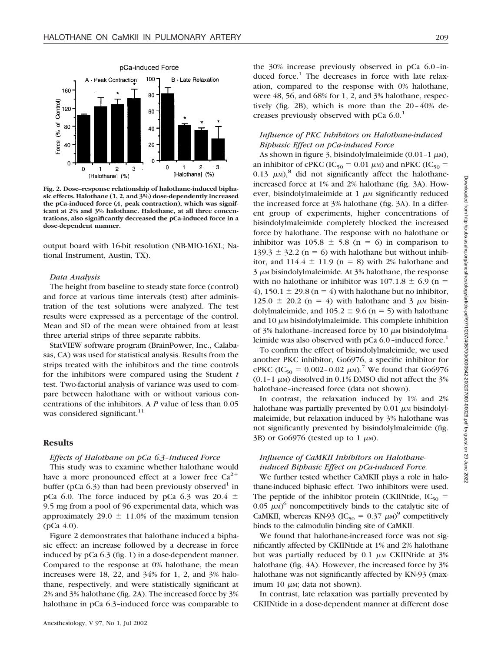

**Fig. 2. Dose–response relationship of halothane-induced biphasic effects. Halothane (1, 2, and 3%) dose-dependently increased the pCa-induced force (***A***, peak contraction), which was significant at 2% and 3% halothane. Halothane, at all three concentrations, also significantly decreased the pCa-induced force in a dose-dependent manner.**

output board with 16-bit resolution (NB-MIO-16XL; National Instrument, Austin, TX).

#### *Data Analysis*

The height from baseline to steady state force (control) and force at various time intervals (test) after administration of the test solutions were analyzed. The test results were expressed as a percentage of the control. Mean and SD of the mean were obtained from at least three arterial strips of three separate rabbits.

StatVIEW software program (BrainPower, Inc., Calabasas, CA) was used for statistical analysis. Results from the strips treated with the inhibitors and the time controls for the inhibitors were compared using the Student *t* test. Two-factorial analysis of variance was used to compare between halothane with or without various concentrations of the inhibitors. A *P* value of less than 0.05 was considered significant.<sup>11</sup>

#### **Results**

#### *Effects of Halothane on pCa 6.3–induced Force*

This study was to examine whether halothane would have a more pronounced effect at a lower free  $Ca^{2+}$ buffer (pCa  $6.3$ ) than had been previously observed<sup>1</sup> in pCa 6.0. The force induced by pCa 6.3 was 20.4  $\pm$ 9.5 mg from a pool of 96 experimental data, which was approximately 29.0  $\pm$  11.0% of the maximum tension  $(pCa 4.0)$ .

Figure 2 demonstrates that halothane induced a biphasic effect: an increase followed by a decrease in force induced by pCa 6.3 (fig. 1) in a dose-dependent manner. Compared to the response at 0% halothane, the mean increases were 18, 22, and 34% for 1, 2, and 3% halothane, respectively, and were statistically significant at 2% and 3% halothane (fig. 2A). The increased force by 3% halothane in pCa 6.3–induced force was comparable to

the 30% increase previously observed in pCa 6.0–induced force.<sup>1</sup> The decreases in force with late relaxation, compared to the response with 0% halothane, were 48, 56, and 68% for 1, 2, and 3% halothane, respectively (fig. 2B), which is more than the 20–40% decreases previously observed with  $pCa 6.0$ <sup>1</sup>

## *Influence of PKC Inhibitors on Halothane-induced Biphasic Effect on pCa-induced Force*

As shown in figure 3, bisindolylmaleimide (0.01-1  $\mu$ M), an inhibitor of cPKC (IC<sub>50</sub> = 0.01  $\mu$ <sub>M</sub>) and nPKC (IC<sub>50</sub> = 0.13  $\mu$ <sub>M</sub>),<sup>8</sup> did not significantly affect the halothaneincreased force at 1% and 2% halothane (fig. 3A). However, bisindolylmaleimide at  $1 \mu$  m significantly reduced the increased force at 3% halothane (fig. 3A). In a different group of experiments, higher concentrations of bisindolylmaleimide completely blocked the increased force by halothane. The response with no halothane or inhibitor was  $105.8 \pm 5.8$  (n = 6) in comparison to 139.3  $\pm$  32.2 (n = 6) with halothane but without inhibitor, and  $114.4 \pm 11.9$  (n = 8) with 2% halothane and  $3 \mu$ <sub>M</sub> bisindolylmaleimide. At  $3\%$  halothane, the response with no halothane or inhibitor was  $107.1.8 \pm 6.9$  (n = 4), 150.1  $\pm$  29.8 (n = 4) with halothane but no inhibitor,  $125.0 \pm 20.2$  (n = 4) with halothane and 3  $\mu$ M bisindolylmaleimide, and  $105.2 \pm 9.6$  (n = 5) with halothane and  $10 \mu$ <sub>M</sub> bisindolylmaleimide. This complete inhibition of 3% halothane-increased force by 10  $\mu$ M bisindolylmaleimide was also observed with  $pCa 6.0$ –induced force.<sup>1</sup>

To confirm the effect of bisindolylmaleimide, we used another PKC inhibitor, Go6976, a specific inhibitor for cPKC (IC<sub>50</sub> = 0.002–0.02  $\mu$ <sub>M</sub>).<sup>7</sup> We found that Go6976 (0.1-1  $\mu$ M) dissolved in 0.1% DMSO did not affect the 3% halothane–increased force (data not shown).

In contrast, the relaxation induced by 1% and 2% halothane was partially prevented by  $0.01 \mu$  M bisindolylmaleimide, but relaxation induced by 3% halothane was not significantly prevented by bisindolylmaleimide (fig. 3B) or Go6976 (tested up to 1  $\mu$ M).

## *Influence of CaMKII Inhibitors on Halothaneinduced Biphasic Effect on pCa-induced Force.*

We further tested whether CaMKII plays a role in halothane-induced biphasic effect. Two inhibitors were used. The peptide of the inhibitor protein (CKIINtide,  $IC_{50}$  =  $0.05 \mu\text{m}$ <sup>6</sup> noncompetitively binds to the catalytic site of CaMKII, whereas KN-93 (IC<sub>50</sub> = 0.37  $\mu$ M)<sup>9</sup> competitively binds to the calmodulin binding site of CaMKII.

We found that halothane-increased force was not significantly affected by CKIINtide at 1% and 2% halothane but was partially reduced by  $0.1 \mu M$  CKIINtide at  $3\%$ halothane (fig. 4A). However, the increased force by 3% halothane was not significantly affected by KN-93 (maximum 10  $\mu$ <sub>M</sub>; data not shown).

In contrast, late relaxation was partially prevented by CKIINtide in a dose-dependent manner at different dose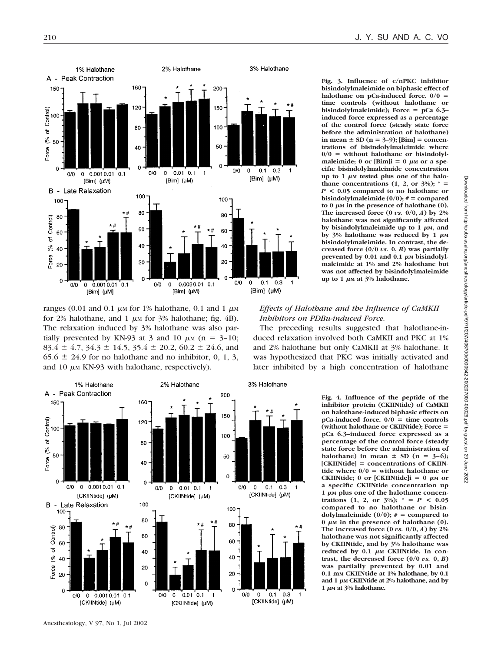

ranges (0.01 and 0.1  $\mu$ M for 1% halothane, 0.1 and 1  $\mu$ M for 2% halothane, and 1  $\mu$ m for 3% halothane; fig. 4B). The relaxation induced by 3% halothane was also partially prevented by KN-93 at 3 and 10  $\mu$ <sub>M</sub> (n = 3-10;  $83.4 \pm 4.7$ ,  $34.3 \pm 14.5$ ,  $35.4 \pm 20.2$ ,  $60.2 \pm 24.6$ , and  $65.6 \pm 24.9$  for no halothane and no inhibitor, 0, 1, 3, and 10  $\mu$ M KN-93 with halothane, respectively).



**Fig. 4. Influence of the peptide of the inhibitor protein (CKIINtide) of CaMKII on halothane-induced biphasic effects on pCa-induced force. 0/0 time controls (without halothane or CKIINtide); Force pCa 6.3–induced force expressed as a percentage of the control force (steady state force before the administration of halothane**) in mean  $\pm$  SD (n = 3–6); **[CKIINtide] concentrations of CKIINtide where**  $0/0$  **= without halothane or**  $CKIINtide$ ; 0 or  $[CKIINtide]i = 0 \mu M$  or **a specific CKIINtide concentration up** 1  $\mu$ <sub>M</sub> plus one of the halothane concen**trations** (1, 2, or  $3\%$ );  $* = P < 0.05$ **compared to no halothane or bisindolylmaleimide**  $(0/0);$   $# =$  compared to 0  $\mu$ м in the presence of halothane (0). **The increased force (0** *vs.* **0/0,** *A***) by 2% halothane was not significantly affected by CKIINtide, and by 3% halothane was** reduced by 0.1 μm CKIINtide. In con**trast, the decreased force (0/0** *vs.* **0,** *B***) was partially prevented by 0.01 and 0.1 mM CKIINtide at 1% halothane, by 0.1** and 1  $\mu$ m CKIINtide at 2% halothane, and by  $1 \mu$ <sub>M</sub> at  $3\%$  halothane.

**Fig. 3. Influence of c/nPKC inhibitor bisindolylmaleimide on biphasic effect of halothane on pCa-induced force. 0/0 time controls (without halothane or bisindolylmaleimide); Force pCa 6.3– induced force expressed as a percentage of the control force (steady state force before the administration of halothane)**  $\text{in}$  mean  $\pm$  SD (n = 3–9); [Bim] = concen**trations of bisindolylmaleimide where**  $0/0$  = without halothane or bisindolylmaleimide; 0 or  $\text{[Bim]}$ i = 0  $\mu$ M or a spe**cific bisindolylmaleimide concentration** up to 1  $\mu$ <sub>M</sub> tested plus one of the halothane concentrations  $(1, 2, \text{or } 3\%)$ ;  $* =$ *P* **< 0.05 compared to no halothane or bisindolylmaleimide**  $(0/0);$   $# =$  compared  $\mathbf{t}$  **o**  $\mu$  **m** in the presence of halothane (0). The increased force  $(0 \text{ vs. } 0/0, A)$  by  $2\%$ **halothane was not significantly affected**  $b$ y bisindolylmaleimide up to 1  $\mu$ м, and  $\frac{1}{2}$   $\frac{1}{2}$   $\frac{1}{2}$   $\frac{1}{2}$   $\frac{1}{2}$   $\frac{1}{2}$   $\frac{1}{2}$   $\frac{1}{2}$   $\frac{1}{2}$   $\frac{1}{2}$   $\frac{1}{2}$   $\frac{1}{2}$   $\frac{1}{2}$   $\frac{1}{2}$   $\frac{1}{2}$   $\frac{1}{2}$   $\frac{1}{2}$   $\frac{1}{2}$   $\frac{1}{2}$   $\frac{1}{2}$   $\frac{1}{2}$   $\frac{1}{2}$  **bisindolylmaleimide. In contrast, the decreased force (0/0** *vs.* **0,** *B***) was partially** prevented by 0.01 and 0.1  $\mu$ <sub>M</sub> bisindolyl**maleimide at 1% and 2% halothane but was not affected by bisindolylmaleimide up to 1 µm at 3% halothane.** 

## *Effects of Halothane and the Influence of CaMKII Inhibitors on PDBu-induced Force.*

The preceding results suggested that halothane-induced relaxation involved both CaMKII and PKC at 1% and 2% halothane but only CaMKII at 3% halothane. It was hypothesized that PKC was initially activated and later inhibited by a high concentration of halothane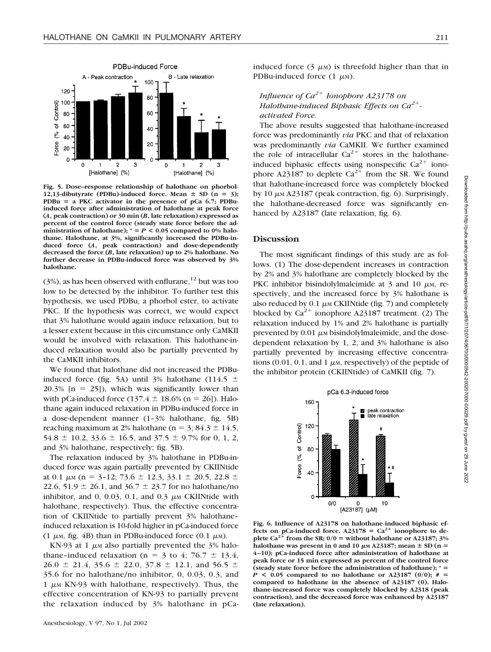

**Fig. 5. Dose–response relationship of halothane on phorbol-**12,13-dibutyrate (PDBu)-induced force. Mean  $\pm$  SD (n = 3); **PDBu a PKC activator in the presence of pCa 6.7; PDBuinduced force after administration of halothane at peak force (***A***, peak contraction) or 30 min (***B***, late relaxation) expressed as percent of the control force (steady state force before the ad**ministration of halothane);  $^* = P < 0.05$  compared to 0% halo**thane. Halothane, at 3%, significantly increased the PDBu-induced force (***A***, peak contraction) and dose-dependently decreased the force (***B***, late relaxation) up to 2% halothane. No further decrease in PDBu-induced force was observed by 3% halothane.**

 $(3%)$ , as has been observed with enflurane,<sup>12</sup> but was too low to be detected by the inhibitor. To further test this hypothesis, we used PDBu, a phorbol ester, to activate PKC. If the hypothesis was correct, we would expect that 3% halothane would again induce relaxation, but to a lesser extent because in this circumstance only CaMKII would be involved with relaxation. This halothane-induced relaxation would also be partially prevented by the CaMKII inhibitors.

We found that halothane did not increased the PDBuinduced force (fig. 5A) until 3% halothane (114.5  $\pm$  $20.3\%$  [n = 25]), which was significantly lower than with pCa-induced force  $(137.4 \pm 18.6\%$  (n = 26]). Halothane again induced relaxation in PDBu-induced force in a dose-dependent manner (1–3% halothane, fig. 5B) reaching maximum at 2% halothane ( $n = 3$ ; 84.3  $\pm$  14.5,  $54.8 \pm 10.2$ ,  $33.6 \pm 16.5$ , and  $37.5 \pm 9.7$ % for 0, 1, 2, and 3% halothane, respectively; fig. 5B).

The relaxation induced by 3% halothane in PDBu-induced force was again partially prevented by CKIINtide at 0.1  $\mu$ M (n = 3-12; 73.6  $\pm$  12.3, 33.1  $\pm$  20.5, 22.8  $\pm$ 22.6, 51.9  $\pm$  26.1, and 36.7  $\pm$  23.7 for no halothane/no inhibitor, and 0, 0.03, 0.1, and 0.3  $\mu$ M CKIINtide with halothane, respectively). Thus, the effective concentration of CKIINtide to partially prevent 3% halothane– induced relaxation is 10-fold higher in pCa-induced force (1  $\mu$ M, fig. 4B) than in PDBu-induced force (0.1  $\mu$ M).

KN-93 at 1  $\mu$ m also partially prevented the 3% halothane-induced relaxation (n = 3 to 4; 76.7  $\pm$  13.4,  $26.0 \pm 21.4$ , 35.6  $\pm$  22.0, 37.8  $\pm$  12.1, and 56.5  $\pm$ 35.6 for no halothane/no inhibitor, 0, 0.03, 0.3, and 1  $\mu$ <sub>M</sub> KN-93 with halothane, respectively). Thus, the effective concentration of KN-93 to partially prevent the relaxation induced by 3% halothane in pCainduced force  $(3 \mu)$  is threefold higher than that in PDBu-induced force  $(1 \mu M)$ .

## *Influence of Ca*<sup>2+</sup> *Ionophore A23178 on Halothane-induced Biphasic Effects on Ca2 activated Force.*

The above results suggested that halothane-increased force was predominantly *via* PKC and that of relaxation was predominantly *via* CaMKII. We further examined the role of intracellular  $Ca^{2+}$  stores in the halothaneinduced biphasic effects using nonspecific  $Ca^{2+}$  ionophore A23187 to deplete  $Ca^{2+}$  from the SR. We found that halothane-increased force was completely blocked by 10  $\mu$ M A23187 (peak contraction, fig. 6). Surprisingly, the halothane-decreased force was significantly enhanced by A23187 (late relaxation, fig. 6).

#### **Discussion**

The most significant findings of this study are as follows. (1) The dose-dependent increases in contraction by 2% and 3% halothane are completely blocked by the PKC inhibitor bisindolylmaleimide at  $3$  and  $10 \mu$ <sub>M</sub>, respectively, and the increased force by 3% halothane is also reduced by  $0.1 \mu \text{M}$  CKIINtide (fig. 7) and completely blocked by  $Ca^{2+}$  ionophore A23187 treatment. (2) The relaxation induced by 1% and 2% halothane is partially prevented by  $0.01 \mu$ <sub>M</sub> bisindolylmaleimide, and the dosedependent relaxation by 1, 2, and 3% halothane is also partially prevented by increasing effective concentrations  $(0.01, 0.1,$  and  $1 \mu$ <sub>M</sub>, respectively) of the peptide of the inhibitor protein (CKIINtide) of CaMKII (fig. 7).



**Fig. 6. Influence of A23178 on halothane-induced biphasic effects on pCa-induced force.** A23178 =  $Ca^{2+}$  ionophore to deplete  $Ca^{2+}$  from the SR;  $0/0 =$  without halothane or A23187; 3% halothane was present in 0 and 10  $\mu$ M A23187; mean  $\pm$  SD (n = **4–10); pCa-induced force after administration of halothane at peak force or 15 min expressed as percent of the control force (steady state force before the administration of halothane); \*** *P* < 0.05 compared to no halothane or A23187 (0/0);  $# =$ **compared to halothane in the absence of A23187 (0). Halothane-increased force was completely blocked by A2318 (peak contraction), and the decreased force was enhanced by A23187 (late relaxation).**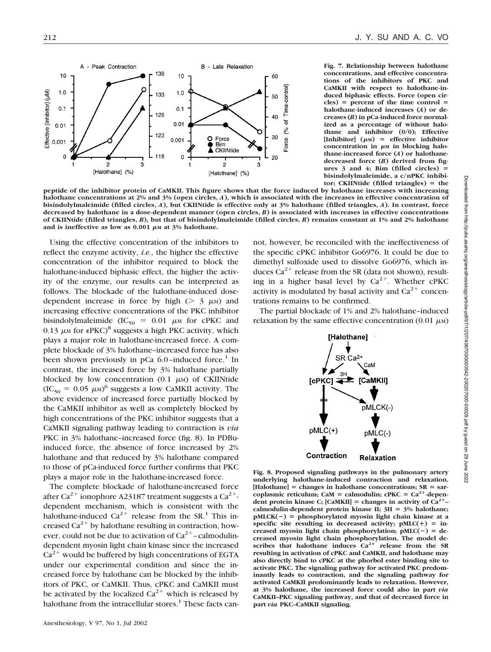

**Fig. 7. Relationship between halothane concentrations, and effective concentrations of the inhibitors of PKC and CaMKII with respect to halothane-induced biphasic effects. Force (open cir** $cles) = percent of the time control =$ **halothane-induced increases (***A***) or decreases (***B***) in pCa-induced force normalized as a percentage of without halothane and inhibitor (0/0); Effective**  $[Inhibitor]$   $(\mu)$  = effective inhibitor concentration in  $\mu$ <sup>M</sup> in blocking halo**thane-increased force (***A***) or halothanedecreased force (***B***) derived from figures 3 and 4; Bim (filled circles) bisindolylmaleimide, a c/nPKC inhibitor; CKIINtide (filled triangles) the**

**peptide of the inhibitor protein of CaMKII. This figure shows that the force induced by halothane increases with increasing halothane concentrations at 2% and 3% (open circles,** *A***), which is associated with the increases in effective concentration of bisindolylmaleimide (filled circles,** *A***), but CKIINtide is effective only at 3% halothane (filled triangles,** *A***). In contrast, force decreased by halothane in a dose-dependent manner (open circles,** *B***) is associated with increases in effective concentrations of CKIINtide (filled triangles,** *B***), but that of bisindolylmaleimide (filled circles,** *B***) remains constant at 1% and 2% halothane** and is ineffective as low as  $0.001 \mu$ <sub>M</sub> at  $3\%$  halothane.

Using the effective concentration of the inhibitors to reflect the enzyme activity, *i.e.*, the higher the effective concentration of the inhibitor required to block the halothane-induced biphasic effect, the higher the activity of the enzyme, our results can be interpreted as follows. The blockade of the halothane-induced dosedependent increase in force by high ( $> 3 \mu$ M) and increasing effective concentrations of the PKC inhibitor bisindolylmaleimide ( $IC_{50} = 0.01 \mu M$  for cPKC and 0.13  $\mu$ M for  $\epsilon$ PKC)<sup>8</sup> suggests a high PKC activity, which plays a major role in halothane-increased force. A complete blockade of 3% halothane–increased force has also been shown previously in  $pCa_06.0$ –induced force.<sup>1</sup> In contrast, the increased force by 3% halothane partially blocked by low concentration  $(0.1 \mu M)$  of CKIINtide  $(IC_{50} = 0.05 \ \mu\text{m})^6$  suggests a low CaMKII activity. The above evidence of increased force partially blocked by the CaMKII inhibitor as well as completely blocked by high concentrations of the PKC inhibitor suggests that a CaMKII signaling pathway leading to contraction is *via* PKC in 3% halothane–increased force (fig. 8). In PDBuinduced force, the absence of force increased by 2% halothane and that reduced by 3% halothane compared to those of pCa-induced force further confirms that PKC plays a major role in the halothane-increased force.

The complete blockade of halothane-increased force after Ca<sup>2+</sup> ionophore A23187 treatment suggests a Ca<sup>2+</sup>dependent mechanism, which is consistent with the halothane-induced  $Ca^{2+}$  release from the SR.<sup>1</sup> This increased  $Ca^{2+}$  by halothane resulting in contraction, however, could not be due to activation of  $Ca^{2+}$ -calmodulindependent myosin light chain kinase since the increased  $Ca<sup>2+</sup>$  would be buffered by high concentrations of EGTA under our experimental condition and since the increased force by halothane can be blocked by the inhibitors of PKC, or CaMKII. Thus, cPKC and CaMKII must be activated by the localized  $Ca^{2+}$  which is released by halothane from the intracellular stores.<sup>1</sup> These facts cannot, however, be reconciled with the ineffectiveness of the specific cPKC inhibitor Go6976. It could be due to dimethyl sulfoxide used to dissolve Go6976, which induces  $Ca^{2+}$  release from the SR (data not shown), resulting in a higher basal level by  $Ca^{2+}$ . Whether cPKC activity is modulated by basal activity and  $Ca^{2+}$  concentrations remains to be confirmed.

The partial blockade of 1% and 2% halothane–induced relaxation by the same effective concentration (0.01  $\mu$ M)



**Fig. 8. Proposed signaling pathways in the pulmonary artery underlying halothane-induced contraction and relaxation.** [Halothane] = changes in halothane concentrations; SR = sarcoplasmic reticulum; CaM = calmodulin;  $cPKC = Ca^{2+}$ -depen**dent protein kinase C;** [CaMKII] = changes in activity of  $Ca^{2+}$ – calmodulin-dependent protein kinase II;  $3H = 3%$  halothane;  $pMLCK(-) = phosphorylated myosin light chain kinase at a$ specific site resulting in decreased activity;  $pMLC(+) = in$ creased myosin light chain phosphorylation;  $pMLC(-) = de$ **creased myosin light chain phosphorylation. The model de**scribes that halothane induces  $Ca^{2+}$  release from the SR **resulting in activation of cPKC and CaMKII, and halothane may also directly bind to cPKC at the phorbol ester binding site to activate PKC. The signaling pathway for activated PKC predominantly leads to contraction, and the signaling pathway for activated CaMKII predominantly leads to relaxation. However, at 3% halothane, the increased force could also in part** *via* **CaMKII–PKC signaling pathway, and that of decreased force in part** *via* **PKC–CaMKII signaling.**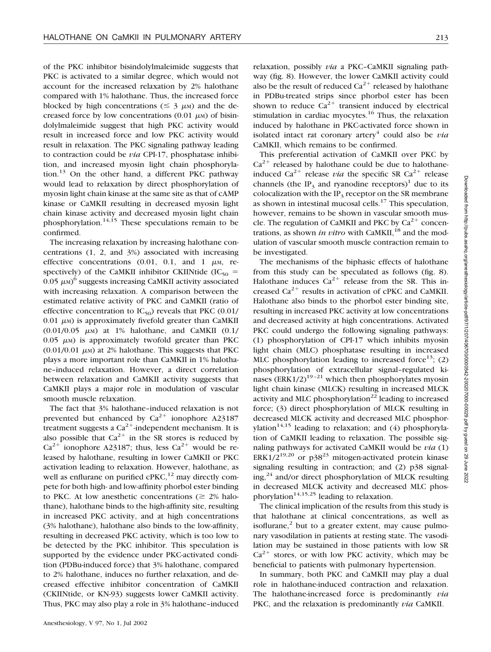of the PKC inhibitor bisindolylmaleimide suggests that PKC is activated to a similar degree, which would not account for the increased relaxation by 2% halothane compared with 1% halothane. Thus, the increased force blocked by high concentrations ( $\leq$  3  $\mu$ M) and the decreased force by low concentrations  $(0.01 \mu)$  of bisindolylmaleimide suggest that high PKC activity would result in increased force and low PKC activity would result in relaxation. The PKC signaling pathway leading to contraction could be *via* CPI-17, phosphatase inhibition, and increased myosin light chain phosphorylation.13 On the other hand, a different PKC pathway would lead to relaxation by direct phosphorylation of myosin light chain kinase at the same site as that of cAMP kinase or CaMKII resulting in decreased myosin light chain kinase activity and decreased myosin light chain phosphorylation.<sup>14,15</sup> These speculations remain to be confirmed.

The increasing relaxation by increasing halothane concentrations (1, 2, and 3%) associated with increasing effective concentrations  $(0.01, 0.1, and 1 \mu)$ , respectively) of the CaMKII inhibitor CKIINtide (IC<sub>50</sub> =  $0.05 \mu$ <sub>M</sub>)<sup>6</sup> suggests increasing CaMKII activity associated with increasing relaxation. A comparison between the estimated relative activity of PKC and CaMKII (ratio of effective concentration to  $IC_{50}$ ) reveals that PKC (0.01/  $0.01 \mu$ <sub>M</sub>) is approximately fivefold greater than CaMKII  $(0.01/0.05 \mu M)$  at 1% halothane, and CaMKII  $(0.1/$  $0.05 \mu$ <sub>M</sub>) is approximately twofold greater than PKC  $(0.01/0.01 \mu)$  at 2% halothane. This suggests that PKC plays a more important role than CaMKII in 1% halothane–induced relaxation. However, a direct correlation between relaxation and CaMKII activity suggests that CaMKII plays a major role in modulation of vascular smooth muscle relaxation.

The fact that 3% halothane–induced relaxation is not prevented but enhanced by  $Ca^{2+}$  ionophore A23187 treatment suggests a  $Ca^{2+}$ -independent mechanism. It is also possible that  $Ca^{2+}$  in the SR stores is reduced by  $Ca^{2+}$  ionophore A23187; thus, less  $Ca^{2+}$  would be released by halothane, resulting in lower CaMKII or PKC activation leading to relaxation. However, halothane, as well as enflurane on purified  $\text{cPKC}$ ,<sup>12</sup> may directly compete for both high- and low-affinity phorbol ester binding to PKC. At low anesthetic concentrations ( $\geq 2\%$  halothane), halothane binds to the high-affinity site, resulting in increased PKC activity, and at high concentrations (3% halothane), halothane also binds to the low-affinity, resulting in decreased PKC activity, which is too low to be detected by the PKC inhibitor. This speculation is supported by the evidence under PKC-activated condition (PDBu-induced force) that 3% halothane, compared to 2% halothane, induces no further relaxation, and decreased effective inhibitor concentration of CaMKII (CKIINtide, or KN-93) suggests lower CaMKII activity. Thus, PKC may also play a role in 3% halothane–induced relaxation, possibly *via* a PKC–CaMKII signaling pathway (fig. 8). However, the lower CaMKII activity could also be the result of reduced  $Ca^{2+}$  released by halothane in PDBu-treated strips since phorbol ester has been shown to reduce  $Ca^{2+}$  transient induced by electrical stimulation in cardiac myocytes.<sup>16</sup> Thus, the relaxation induced by halothane in PKC-activated force shown in isolated intact rat coronary artery<sup>4</sup> could also be *via* CaMKII, which remains to be confirmed.

This preferential activation of CaMKII over PKC by  $Ca^{2+}$  released by halothane could be due to halothaneinduced  $Ca^{2+}$  release *via* the specific SR  $Ca^{2+}$  release channels (the IP<sub>2</sub> and ryanodine receptors)<sup>1</sup> due to its colocalization with the  $IP_3$  receptor on the SR membrane as shown in intestinal mucosal cells. $17$  This speculation, however, remains to be shown in vascular smooth muscle. The regulation of CaMKII and PKC by  $Ca^{2+}$  concentrations, as shown *in vitro* with CaMKII,<sup>18</sup> and the modulation of vascular smooth muscle contraction remain to be investigated.

The mechanisms of the biphasic effects of halothane from this study can be speculated as follows (fig. 8). Halothane induces  $Ca^{2+}$  release from the SR. This increased  $Ca^{2+}$  results in activation of cPKC and CaMKII. Halothane also binds to the phorbol ester binding site, resulting in increased PKC activity at low concentrations and decreased activity at high concentrations. Activated PKC could undergo the following signaling pathways: (1) phosphorylation of CPI-17 which inhibits myosin light chain (MLC) phosphatase resulting in increased MLC phosphorylation leading to increased force<sup>13</sup>; (2) phosphorylation of extracellular signal–regulated kinases (ERK1/2) $19-21$  which then phosphorylates myosin light chain kinase (MLCK) resulting in increased MLCK activity and MLC phosphorylation<sup>22</sup> leading to increased force; (3) direct phosphorylation of MLCK resulting in decreased MLCK activity and decreased MLC phosphorvlation<sup>14,15</sup> leading to relaxation; and  $(4)$  phosphorylation of CaMKII leading to relaxation. The possible signaling pathways for activated CaMKII would be *via* (1) ERK1/2<sup>19,20</sup> or p38<sup>23</sup> mitogen-activated protein kinase signaling resulting in contraction; and (2) p38 signaling,<sup>24</sup> and/or direct phosphorylation of MLCK resulting in decreased MLCK activity and decreased MLC phosphorylation<sup>14,15,25</sup> leading to relaxation.

The clinical implication of the results from this study is that halothane at clinical concentrations, as well as isoflurane, $^2$  but to a greater extent, may cause pulmonary vasodilation in patients at resting state. The vasodilation may be sustained in those patients with low SR  $Ca^{2+}$  stores, or with low PKC activity, which may be beneficial to patients with pulmonary hypertension.

In summary, both PKC and CaMKII may play a dual role in halothane-induced contraction and relaxation. The halothane-increased force is predominantly *via* PKC, and the relaxation is predominantly *via* CaMKII.